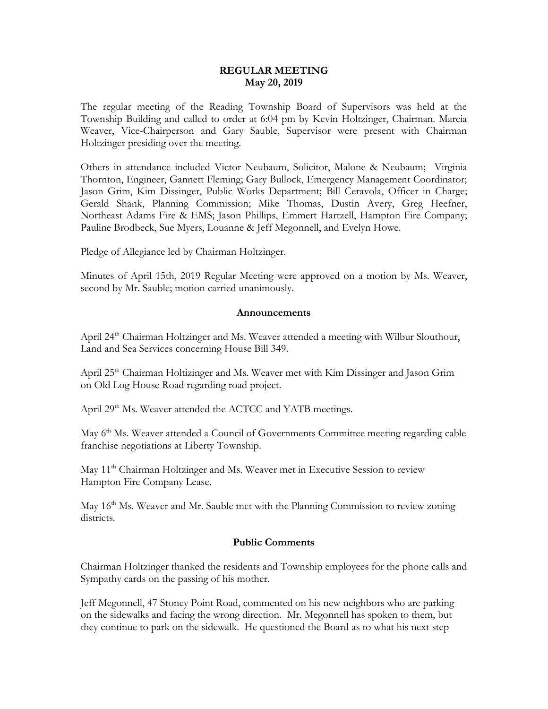### **REGULAR MEETING May 20, 2019**

The regular meeting of the Reading Township Board of Supervisors was held at the Township Building and called to order at 6:04 pm by Kevin Holtzinger, Chairman. Marcia Weaver, Vice-Chairperson and Gary Sauble, Supervisor were present with Chairman Holtzinger presiding over the meeting.

Others in attendance included Victor Neubaum, Solicitor, Malone & Neubaum; Virginia Thornton, Engineer, Gannett Fleming; Gary Bullock, Emergency Management Coordinator; Jason Grim, Kim Dissinger, Public Works Department; Bill Ceravola, Officer in Charge; Gerald Shank, Planning Commission; Mike Thomas, Dustin Avery, Greg Heefner, Northeast Adams Fire & EMS; Jason Phillips, Emmert Hartzell, Hampton Fire Company; Pauline Brodbeck, Sue Myers, Louanne & Jeff Megonnell, and Evelyn Howe.

Pledge of Allegiance led by Chairman Holtzinger.

Minutes of April 15th, 2019 Regular Meeting were approved on a motion by Ms. Weaver, second by Mr. Sauble; motion carried unanimously.

#### **Announcements**

April 24<sup>th</sup> Chairman Holtzinger and Ms. Weaver attended a meeting with Wilbur Slouthour, Land and Sea Services concerning House Bill 349.

April 25th Chairman Holtizinger and Ms. Weaver met with Kim Dissinger and Jason Grim on Old Log House Road regarding road project.

April 29<sup>th</sup> Ms. Weaver attended the ACTCC and YATB meetings.

May 6<sup>th</sup> Ms. Weaver attended a Council of Governments Committee meeting regarding cable franchise negotiations at Liberty Township.

May 11<sup>th</sup> Chairman Holtzinger and Ms. Weaver met in Executive Session to review Hampton Fire Company Lease.

May 16<sup>th</sup> Ms. Weaver and Mr. Sauble met with the Planning Commission to review zoning districts.

#### **Public Comments**

Chairman Holtzinger thanked the residents and Township employees for the phone calls and Sympathy cards on the passing of his mother.

Jeff Megonnell, 47 Stoney Point Road, commented on his new neighbors who are parking on the sidewalks and facing the wrong direction. Mr. Megonnell has spoken to them, but they continue to park on the sidewalk. He questioned the Board as to what his next step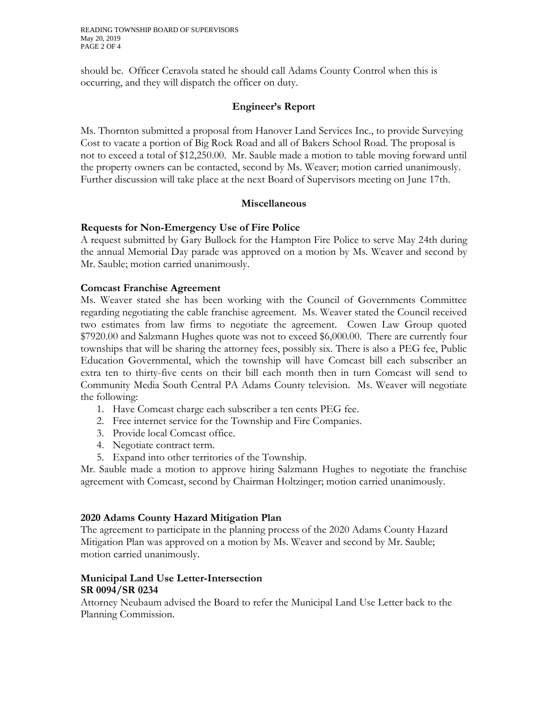should be. Officer Ceravola stated he should call Adams County Control when this is occurring, and they will dispatch the officer on duty.

# **Engineer's Report**

Ms. Thornton submitted a proposal from Hanover Land Services Inc., to provide Surveying Cost to vacate a portion of Big Rock Road and all of Bakers School Road. The proposal is not to exceed a total of \$12,250.00. Mr. Sauble made a motion to table moving forward until the property owners can be contacted, second by Ms. Weaver; motion carried unanimously. Further discussion will take place at the next Board of Supervisors meeting on June 17th.

### **Miscellaneous**

### **Requests for Non-Emergency Use of Fire Police**

A request submitted by Gary Bullock for the Hampton Fire Police to serve May 24th during the annual Memorial Day parade was approved on a motion by Ms. Weaver and second by Mr. Sauble; motion carried unanimously.

### **Comcast Franchise Agreement**

Ms. Weaver stated she has been working with the Council of Governments Committee regarding negotiating the cable franchise agreement. Ms. Weaver stated the Council received two estimates from law firms to negotiate the agreement. Cowen Law Group quoted \$7920.00 and Salzmann Hughes quote was not to exceed \$6,000.00. There are currently four townships that will be sharing the attorney fees, possibly six. There is also a PEG fee, Public Education Governmental, which the township will have Comcast bill each subscriber an extra ten to thirty-five cents on their bill each month then in turn Comcast will send to Community Media South Central PA Adams County television. Ms. Weaver will negotiate the following:

- 1. Have Comcast charge each subscriber a ten cents PEG fee.
- 2. Free internet service for the Township and Fire Companies.
- 3. Provide local Comcast office.
- 4. Negotiate contract term.
- 5. Expand into other territories of the Township.

Mr. Sauble made a motion to approve hiring Salzmann Hughes to negotiate the franchise agreement with Comcast, second by Chairman Holtzinger; motion carried unanimously.

### **2020 Adams County Hazard Mitigation Plan**

The agreement to participate in the planning process of the 2020 Adams County Hazard Mitigation Plan was approved on a motion by Ms. Weaver and second by Mr. Sauble; motion carried unanimously.

### **Municipal Land Use Letter-Intersection SR 0094/SR 0234**

Attorney Neubaum advised the Board to refer the Municipal Land Use Letter back to the Planning Commission.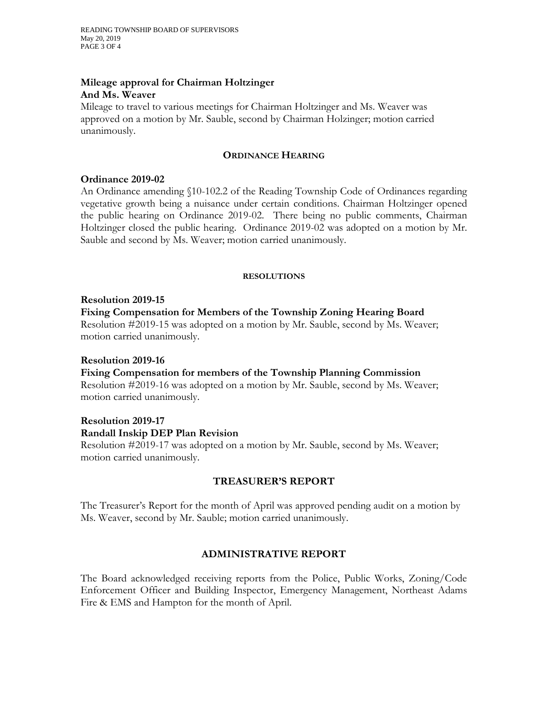### **Mileage approval for Chairman Holtzinger And Ms. Weaver**

Mileage to travel to various meetings for Chairman Holtzinger and Ms. Weaver was approved on a motion by Mr. Sauble, second by Chairman Holzinger; motion carried unanimously.

### **ORDINANCE HEARING**

### **Ordinance 2019-02**

An Ordinance amending §10-102.2 of the Reading Township Code of Ordinances regarding vegetative growth being a nuisance under certain conditions. Chairman Holtzinger opened the public hearing on Ordinance 2019-02. There being no public comments, Chairman Holtzinger closed the public hearing. Ordinance 2019-02 was adopted on a motion by Mr. Sauble and second by Ms. Weaver; motion carried unanimously.

#### **RESOLUTIONS**

#### **Resolution 2019-15**

### **Fixing Compensation for Members of the Township Zoning Hearing Board**

Resolution #2019-15 was adopted on a motion by Mr. Sauble, second by Ms. Weaver; motion carried unanimously.

#### **Resolution 2019-16**

### **Fixing Compensation for members of the Township Planning Commission**

Resolution #2019-16 was adopted on a motion by Mr. Sauble, second by Ms. Weaver; motion carried unanimously.

# **Resolution 2019-17 Randall Inskip DEP Plan Revision**

Resolution #2019-17 was adopted on a motion by Mr. Sauble, second by Ms. Weaver; motion carried unanimously.

### **TREASURER'S REPORT**

The Treasurer's Report for the month of April was approved pending audit on a motion by Ms. Weaver, second by Mr. Sauble; motion carried unanimously.

# **ADMINISTRATIVE REPORT**

The Board acknowledged receiving reports from the Police, Public Works, Zoning/Code Enforcement Officer and Building Inspector, Emergency Management, Northeast Adams Fire & EMS and Hampton for the month of April.